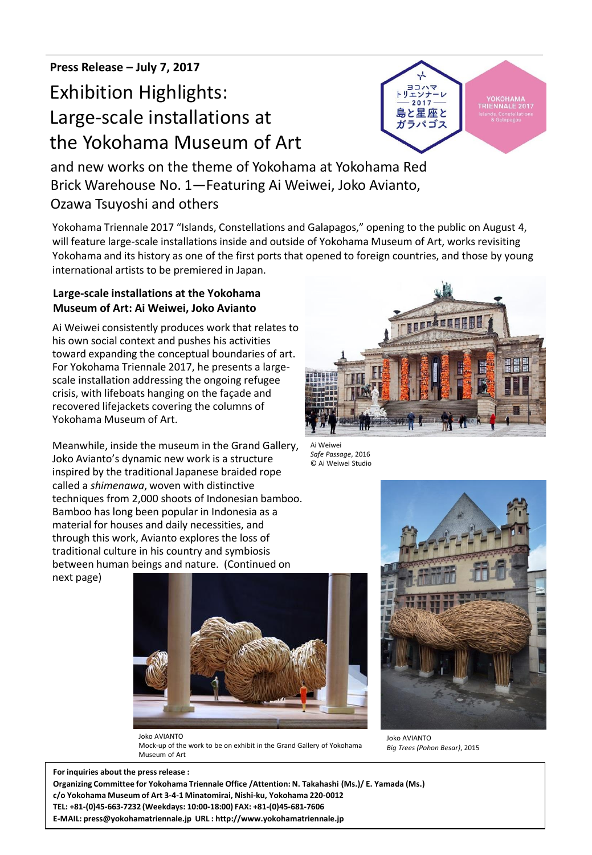# Exhibition Highlights: Large-scale installations at the Yokohama Museum of Art



and new works on the theme of Yokohama at Yokohama Red Brick Warehouse No. 1―Featuring Ai Weiwei, Joko Avianto, Ozawa Tsuyoshi and others

Yokohama Triennale 2017 "Islands, Constellations and Galapagos," opening to the public on August 4, will feature large-scale installations inside and outside of Yokohama Museum of Art, works revisiting Yokohama and its history as one of the first ports that opened to foreign countries, and those by young international artists to be premiered in Japan.

### **Large-scale installations at the Yokohama Museum of Art: Ai Weiwei, Joko Avianto**

Ai Weiwei consistently produces work that relates to his own social context and pushes his activities toward expanding the conceptual boundaries of art. For Yokohama Triennale 2017, he presents a largescale installation addressing the ongoing refugee crisis, with lifeboats hanging on the façade and recovered lifejackets covering the columns of Yokohama Museum of Art.

Meanwhile, inside the museum in the Grand Gallery, Joko Avianto's dynamic new work is a structure inspired by the traditional Japanese braided rope called a *shimenawa*, woven with distinctive techniques from 2,000 shoots of Indonesian bamboo. Bamboo has long been popular in Indonesia as a material for houses and daily necessities, and through this work, Avianto explores the loss of traditional culture in his country and symbiosis between human beings and nature. (Continued on

next page)



Ai Weiwei *Safe Passage*, 2016 © Ai Weiwei Studio



Joko AVIANTO Mock-up of the work to be on exhibit in the Grand Gallery of Yokohama Museum of Art



Joko AVIANTO *Big Trees (Pohon Besar)*, 2015

**For inquiries about the press release : Organizing Committee for Yokohama Triennale Office /Attention: N. Takahashi (Ms.)/ E. Yamada (Ms.) c/o Yokohama Museum of Art 3-4-1 Minatomirai, Nishi-ku, Yokohama 220-0012 TEL: +81-(0)45-663-7232 (Weekdays: 10:00-18:00) FAX: +81-(0)45-681-7606 E-MAIL: press@yokohamatriennale.jp URL : http://www.yokohamatriennale.jp**